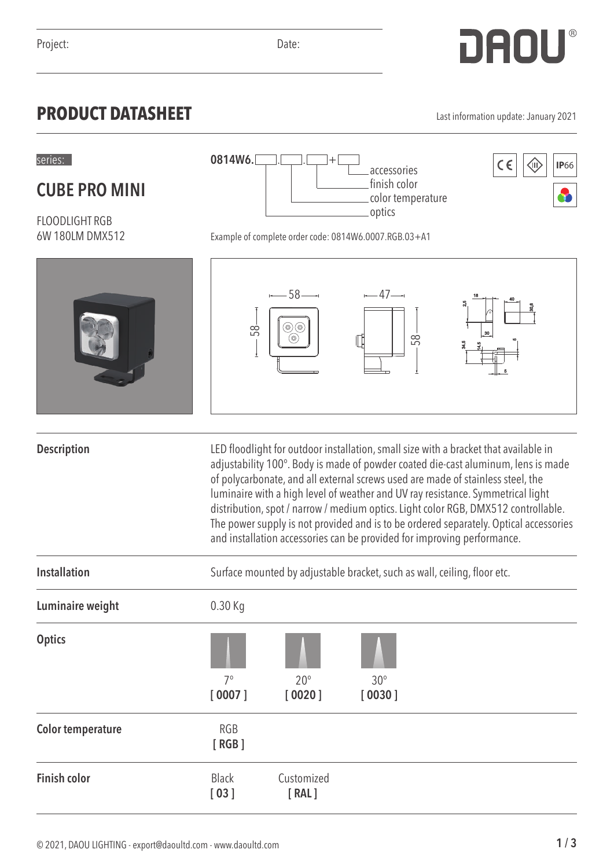## **PRODUCT DATASHEET** Last information update: January 2021

**CUBE PRO MINI**

FLOODLIGHT RGB 6W 180LM DMX512

8

|                          | 58                   | ⊷— ბშ<br>⊚)(⊚<br>(⊚)                                                                                                                                                                                                                                                                                                                                                                                                                                                                                                                                                                                      | $\leftarrow$ 4/ $\rightarrow$<br>$\mathbb T$<br>58 | 25 |  |
|--------------------------|----------------------|-----------------------------------------------------------------------------------------------------------------------------------------------------------------------------------------------------------------------------------------------------------------------------------------------------------------------------------------------------------------------------------------------------------------------------------------------------------------------------------------------------------------------------------------------------------------------------------------------------------|----------------------------------------------------|----|--|
|                          |                      |                                                                                                                                                                                                                                                                                                                                                                                                                                                                                                                                                                                                           |                                                    |    |  |
| <b>Description</b>       |                      | LED floodlight for outdoor installation, small size with a bracket that available in<br>adjustability 100°. Body is made of powder coated die-cast aluminum, lens is made<br>of polycarbonate, and all external screws used are made of stainless steel, the<br>luminaire with a high level of weather and UV ray resistance. Symmetrical light<br>distribution, spot / narrow / medium optics. Light color RGB, DMX512 controllable.<br>The power supply is not provided and is to be ordered separately. Optical accessories<br>and installation accessories can be provided for improving performance. |                                                    |    |  |
| <b>Installation</b>      |                      | Surface mounted by adjustable bracket, such as wall, ceiling, floor etc.                                                                                                                                                                                                                                                                                                                                                                                                                                                                                                                                  |                                                    |    |  |
| Luminaire weight         | 0.30 Kg              |                                                                                                                                                                                                                                                                                                                                                                                                                                                                                                                                                                                                           |                                                    |    |  |
| <b>Optics</b>            | $7^\circ$            | $20^{\circ}$                                                                                                                                                                                                                                                                                                                                                                                                                                                                                                                                                                                              | $30^\circ$                                         |    |  |
|                          | [0007]               | [0020]                                                                                                                                                                                                                                                                                                                                                                                                                                                                                                                                                                                                    | [0030]                                             |    |  |
| <b>Color temperature</b> | <b>RGB</b><br>[RGB]  |                                                                                                                                                                                                                                                                                                                                                                                                                                                                                                                                                                                                           |                                                    |    |  |
| <b>Finish color</b>      | <b>Black</b><br>[03] | Customized<br>[RAL]                                                                                                                                                                                                                                                                                                                                                                                                                                                                                                                                                                                       |                                                    |    |  |

**0814W6.**

Example of complete order code: 0814W6.0007.RGB.03+A1

 $-58 - 47 - 47$ 

series:  $0814W6$ .  $\Box$ .  $\Box$  +  $\Box$  accessories  $|\zeta \in | \langle \hat{\mathbb{I}} \rangle |$  IP66

accessories finish color color temperature

optics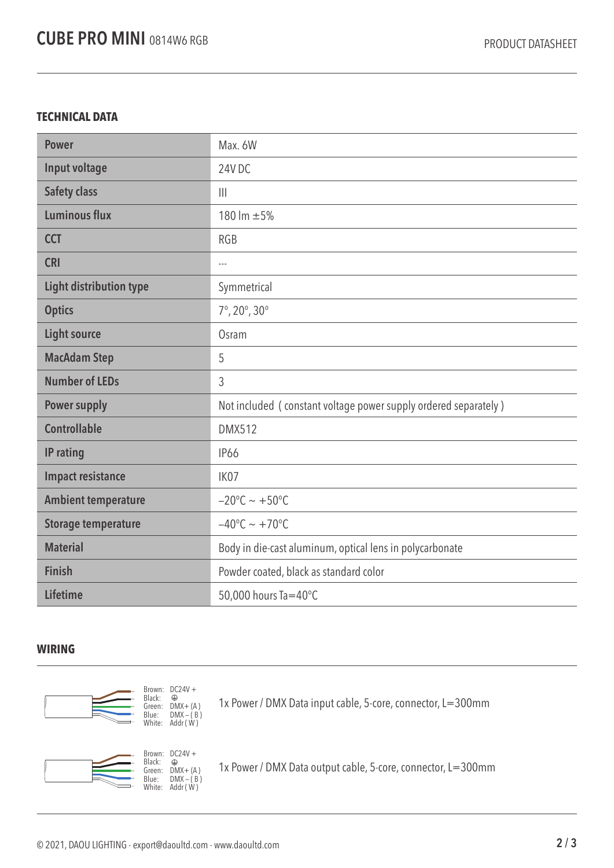## **TECHNICAL DATA**

| <b>Power</b>                   | Max. 6W                                                         |  |
|--------------------------------|-----------------------------------------------------------------|--|
| Input voltage                  | 24VDC                                                           |  |
| <b>Safety class</b>            | $\mathbf{III}$                                                  |  |
| <b>Luminous flux</b>           | 180 lm ±5%                                                      |  |
| <b>CCT</b>                     | <b>RGB</b>                                                      |  |
| <b>CRI</b>                     | $\overline{a}$                                                  |  |
| <b>Light distribution type</b> | Symmetrical                                                     |  |
| <b>Optics</b>                  | $7^{\circ}$ , 20 $^{\circ}$ , 30 $^{\circ}$                     |  |
| <b>Light source</b>            | Osram                                                           |  |
| <b>MacAdam Step</b>            | 5                                                               |  |
| <b>Number of LEDs</b>          | 3                                                               |  |
| <b>Power supply</b>            | Not included (constant voltage power supply ordered separately) |  |
| <b>Controllable</b>            | <b>DMX512</b>                                                   |  |
| IP rating                      | <b>IP66</b>                                                     |  |
| <b>Impact resistance</b>       | IK07                                                            |  |
| <b>Ambient temperature</b>     | $-20^{\circ}$ C ~ +50°C                                         |  |
| <b>Storage temperature</b>     | $-40^{\circ}$ C ~ +70°C                                         |  |
| <b>Material</b>                | Body in die-cast aluminum, optical lens in polycarbonate        |  |
| <b>Finish</b>                  | Powder coated, black as standard color                          |  |
| <b>Lifetime</b>                | 50,000 hours Ta=40°C                                            |  |

## **WIRING**





1x Power / DMX Data input cable, 5-core, connector, L=300mm



1x Power / DMX Data output cable, 5-core, connector, L=300mm